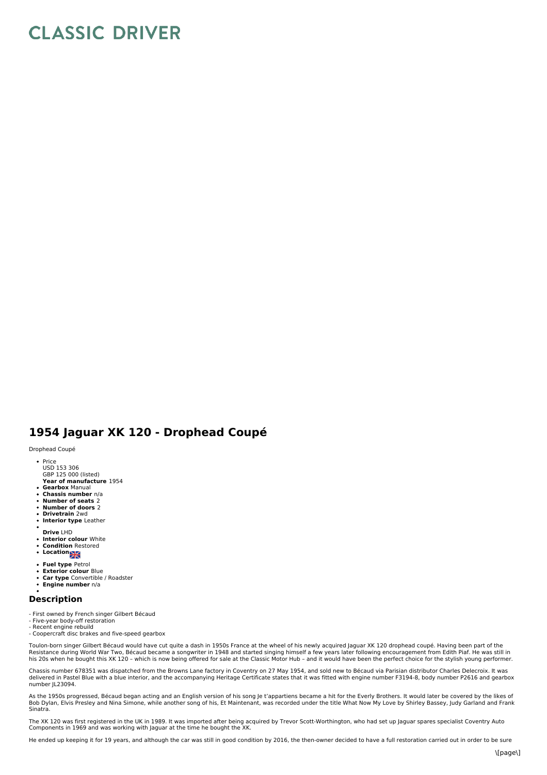## **CLASSIC DRIVER**

## **1954 Jaguar XK 120 - Drophead Coupé**

Drophead Coupé

Price

- GBP 125 000 (listed)<br>**Year of manufacture** 1954 USD 153 306
- **Gearbox** Manual
- **Chassis number** n/a
- **Number of seats** 2 **Number of doors** 2
- **Drivetrain** 2wd
- $\ddot{\phantom{a}}$ **Interior type** Leather
- 
- **Drive** LHD
- $\ddot{\phantom{a}}$ **Interior colour** White **Condition** Restored
- Congress.<br>• Location
- 
- **Fuel type** Petrol **Exterior colour** Blue
- $\ddot{\phantom{0}}$ **Car type** Convertible / Roadster
- **Engine number** n/a  $\bullet$

## **Description**

- 
- First owned by French singer Gilbert Bécaud Five-year body-off restoration
- 
- Recent engine rebuild Coopercraft disc brakes and five-speed gearbox

Toulon-born singer Gilbert Bécaud would have cut quite a dash in 1950s France at the wheel of his newly acquired Jaguar XK 120 drophead coupé. Having been part of the<br>Resistance during World War Two, Bécaud became a songwr

Chassis number 678351 was dispatched from the Browns Lane factory in Coventry on 27 May 1954, and sold new to Bécaud via Parisian distributor Charles Delecroix. It was delivered in Pastel Blue with a blue interior, and the accompanying Heritage Certificate states that it was fitted with engine number F3194-8, body number P2616 and gearbox number JL23094.

As the 1950s progressed, Bécaud began acting and an English version of his song Je t'appartiens became a hit for the Everly Brothers. It would later be covered by the likes of<br>Bob Dylan, Elvis Presley and Nina Simone, whil Sinatra.

The XK 120 was first registered in the UK in 1989. It was imported after being acquired by Trevor Scott-Worthington, who had set up Jaguar spares specialist Coventry Auto Components in 1969 and was working with Jaguar at the time he bought the XK.

He ended up keeping it for 19 years, and although the car was still in good condition by 2016, the then-owner decided to have a full restoration carried out in order to be sure